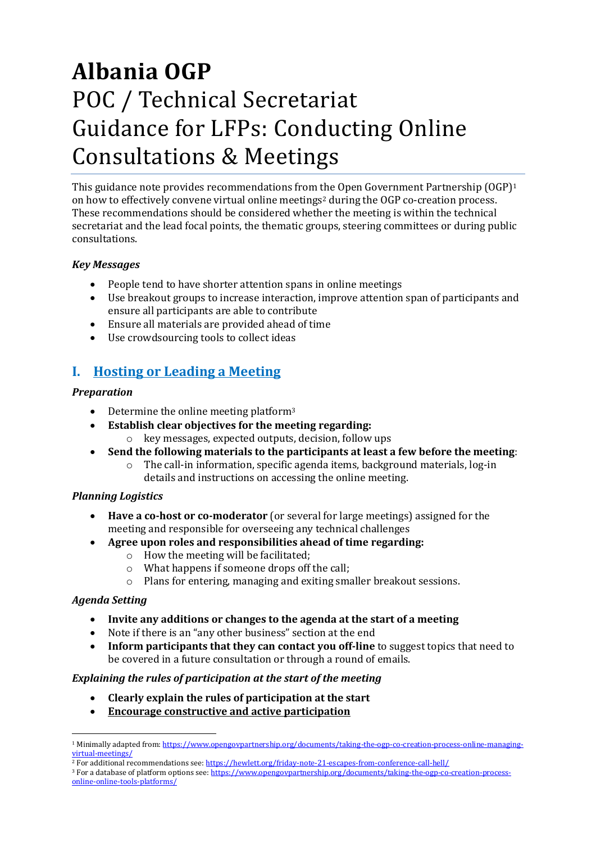# **Albania OGP** POC / Technical Secretariat Guidance for LFPs: Conducting Online Consultations & Meetings

This guidance note provides recommendations from the Open Government Partnership (OGP)<sup>1</sup> on how to effectively convene virtual online meetings<sup>2</sup> during the OGP co-creation process. These recommendations should be considered whether the meeting is within the technical secretariat and the lead focal points, the thematic groups, steering committees or during public consultations.

### *Key Messages*

- People tend to have shorter attention spans in online meetings
- Use breakout groups to increase interaction, improve attention span of participants and ensure all participants are able to contribute
- Ensure all materials are provided ahead of time
- Use crowdsourcing tools to collect ideas

# **I. Hosting or Leading a Meeting**

### *Preparation*

- $\bullet$  Determine the online meeting platform<sup>3</sup>
- **Establish clear objectives for the meeting regarding:** o key messages, expected outputs, decision, follow ups
- **Send the following materials to the participants at least a few before the meeting**:
	- o The call-in information, specific agenda items, background materials, log-in details and instructions on accessing the online meeting.

#### *Planning Logistics*

- **Have a co-host or co-moderator** (or several for large meetings) assigned for the meeting and responsible for overseeing any technical challenges
	- **Agree upon roles and responsibilities ahead of time regarding:**
		- o How the meeting will be facilitated;
		- o What happens if someone drops off the call;
		- o Plans for entering, managing and exiting smaller breakout sessions.

#### *Agenda Setting*

1

- **Invite any additions or changes to the agenda at the start of a meeting**
- Note if there is an "any other business" section at the end
- **Inform participants that they can contact you off-line** to suggest topics that need to be covered in a future consultation or through a round of emails.

#### *Explaining the rules of participation at the start of the meeting*

- **Clearly explain the rules of participation at the start**
- **Encourage constructive and active participation**

<sup>1</sup> Minimally adapted from: [https://www.opengovpartnership.org/documents/taking-the-ogp-co-creation-process-online-managing](https://www.opengovpartnership.org/documents/taking-the-ogp-co-creation-process-online-managing-virtual-meetings/)[virtual-meetings/](https://www.opengovpartnership.org/documents/taking-the-ogp-co-creation-process-online-managing-virtual-meetings/)

<sup>&</sup>lt;sup>2</sup> For additional recommendations see[: https://hewlett.org/friday-note-21-escapes-from-conference-call-hell/](https://hewlett.org/friday-note-21-escapes-from-conference-call-hell/)

<sup>3</sup> For a database of platform options see[: https://www.opengovpartnership.org/documents/taking-the-ogp-co-creation-process](https://www.opengovpartnership.org/documents/taking-the-ogp-co-creation-process-online-online-tools-platforms/)[online-online-tools-platforms/](https://www.opengovpartnership.org/documents/taking-the-ogp-co-creation-process-online-online-tools-platforms/)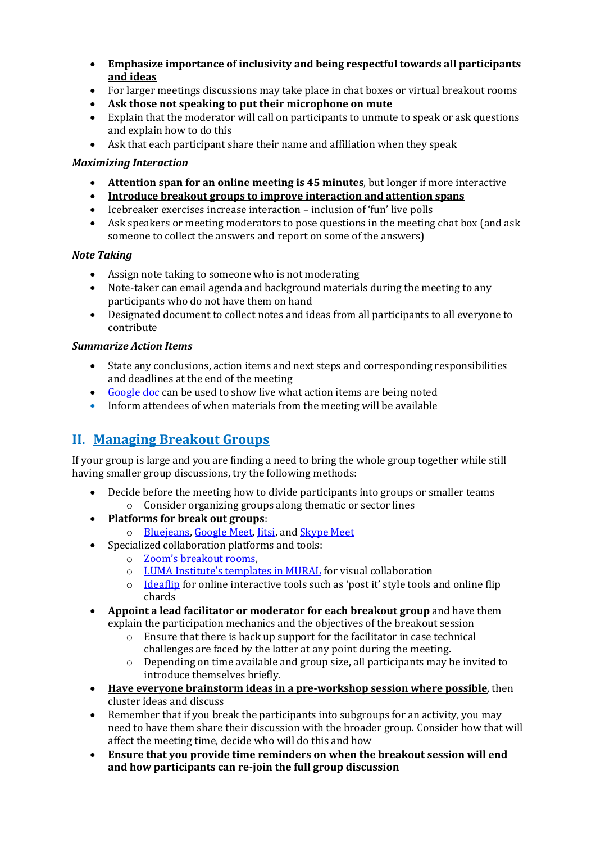- **Emphasize importance of inclusivity and being respectful towards all participants and ideas**
- For larger meetings discussions may take place in chat boxes or virtual breakout rooms
- **Ask those not speaking to put their microphone on mute**
- Explain that the moderator will call on participants to unmute to speak or ask questions and explain how to do this
- Ask that each participant share their name and affiliation when they speak

## *Maximizing Interaction*

- **Attention span for an online meeting is 45 minutes**, but longer if more interactive
- **Introduce breakout groups to improve interaction and attention spans**
- Icebreaker exercises increase interaction inclusion of 'fun' live polls
- Ask speakers or meeting moderators to pose questions in the meeting chat box (and ask someone to collect the answers and report on some of the answers)

# *Note Taking*

- Assign note taking to someone who is not moderating
- Note-taker can email agenda and background materials during the meeting to any participants who do not have them on hand
- Designated document to collect notes and ideas from all participants to all everyone to contribute

# *Summarize Action Items*

- State any conclusions, action items and next steps and corresponding responsibilities and deadlines at the end of the meeting
- [Google doc](https://www.google.com/docs/about/) can be used to show live what action items are being noted
- Inform attendees of when materials from the meeting will be available

# **II. Managing Breakout Groups**

If your group is large and you are finding a need to bring the whole group together while still having smaller group discussions, try the following methods:

- Decide before the meeting how to divide participants into groups or smaller teams o Consider organizing groups along thematic or sector lines
- **Platforms for break out groups**:
	- o [Bluejeans,](https://support.bluejeans.com/s/article/BlueJeans-Breakout-Sessions) [Google Meet,](https://meet.google.com/) [Jitsi,](https://jitsi.org/) an[d Skype Meet](https://www.skype.com/en/free-conference-call/)
- Specialized collaboration platforms and tools:
	- o [Zoom's breakout rooms](https://support.zoom.us/hc/en-us/articles/206476093-Enabling-breakout-rooms),
	- o [LUMA Institute's templates in MURAL](https://mural.co/) for visual collaboration
	- $\circ$  [Ideaflip](https://ideaflip.com/) for online interactive tools such as 'post it' style tools and online flip chards
- **Appoint a lead facilitator or moderator for each breakout group** and have them explain the participation mechanics and the objectives of the breakout session
	- o Ensure that there is back up support for the facilitator in case technical challenges are faced by the latter at any point during the meeting.
	- o Depending on time available and group size, all participants may be invited to introduce themselves briefly.
- **Have everyone brainstorm ideas in a pre-workshop session where possible**, then cluster ideas and discuss
- Remember that if you break the participants into subgroups for an activity, you may need to have them share their discussion with the broader group. Consider how that will affect the meeting time, decide who will do this and how
- **Ensure that you provide time reminders on when the breakout session will end and how participants can re-join the full group discussion**